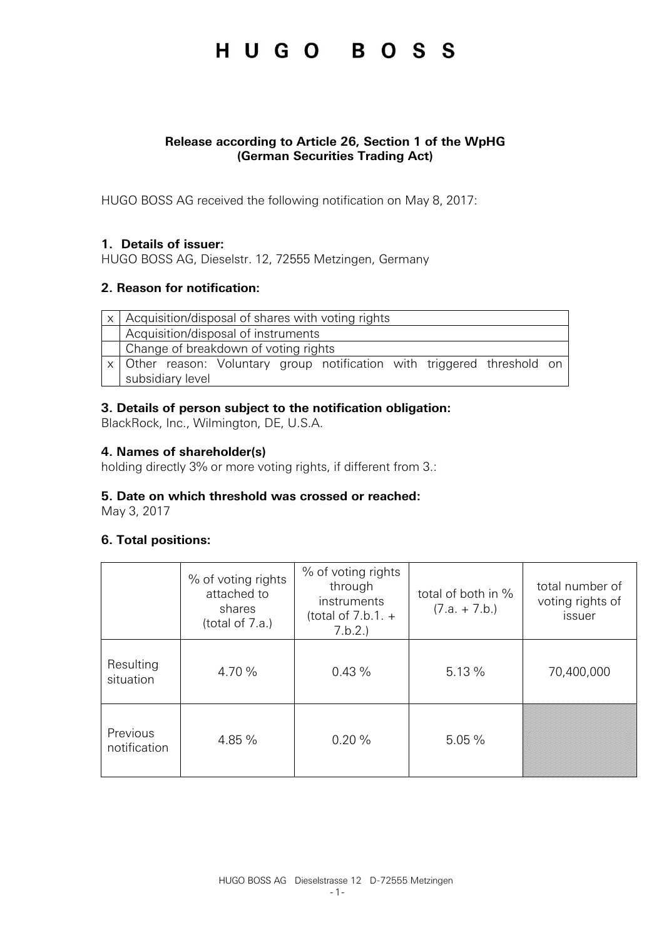#### **Release according to Article 26, Section 1 of the WpHG (German Securities Trading Act)**

HUGO BOSS AG received the following notification on May 8, 2017:

#### **1. Details of issuer:**

HUGO BOSS AG, Dieselstr. 12, 72555 Metzingen, Germany

#### **2. Reason for notification:**

| $\vert x \vert$ Acquisition/disposal of shares with voting rights          |  |  |  |  |
|----------------------------------------------------------------------------|--|--|--|--|
| Acquisition/disposal of instruments                                        |  |  |  |  |
| Change of breakdown of voting rights                                       |  |  |  |  |
| x   Other reason: Voluntary group notification with triggered threshold on |  |  |  |  |
| subsidiary level                                                           |  |  |  |  |

#### **3. Details of person subject to the notification obligation:**

BlackRock, Inc., Wilmington, DE, U.S.A.

#### **4. Names of shareholder(s)**

holding directly 3% or more voting rights, if different from 3.:

#### **5. Date on which threshold was crossed or reached:**

May 3, 2017

#### **6. Total positions:**

|                          | % of voting rights<br>attached to<br>shares<br>(total of 7.a.) | % of voting rights<br>through<br>instruments<br>(total of $7.b.1. +$<br>7.b.2.) | total of both in %<br>$(7.a. + 7.b.)$ | total number of<br>voting rights of<br>issuer |
|--------------------------|----------------------------------------------------------------|---------------------------------------------------------------------------------|---------------------------------------|-----------------------------------------------|
| Resulting<br>situation   | 4.70 %                                                         | 0.43%                                                                           | 5.13%                                 | 70,400,000                                    |
| Previous<br>notification | 4.85 %                                                         | 0.20%                                                                           | 5.05%                                 |                                               |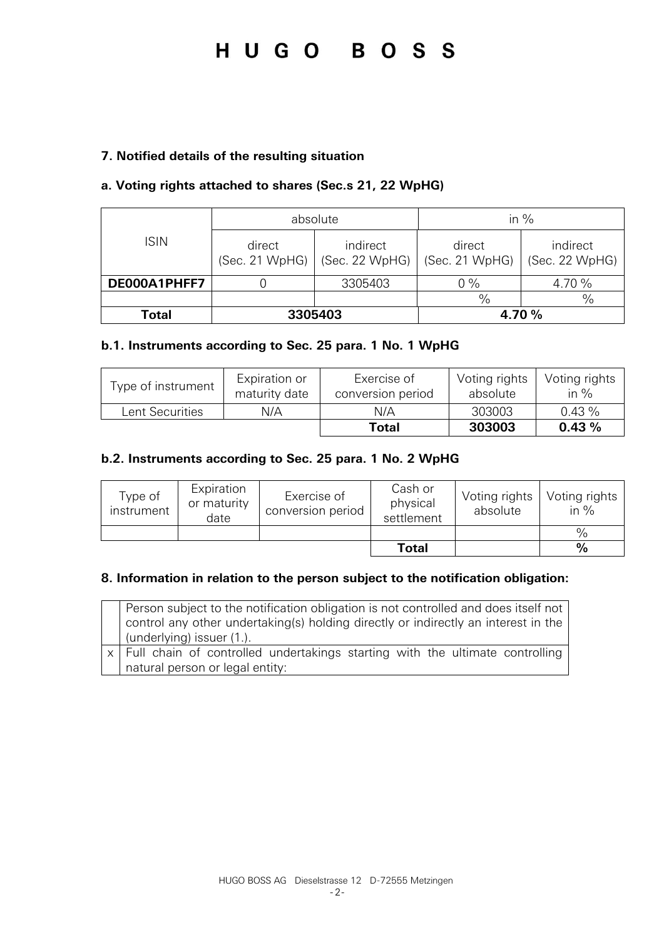#### **7. Notified details of the resulting situation**

#### **a. Voting rights attached to shares (Sec.s 21, 22 WpHG)**

|              |                          | absolute                   | in $%$                   | indirect       |  |
|--------------|--------------------------|----------------------------|--------------------------|----------------|--|
| <b>ISIN</b>  | direct<br>(Sec. 21 WpHG) | indirect<br>(Sec. 22 WpHG) | direct<br>(Sec. 21 WpHG) | (Sec. 22 WpHG) |  |
| DE000A1PHFF7 |                          | 3305403                    | $0\%$                    | 4.70 %         |  |
|              |                          |                            | $\frac{0}{0}$            | $\%$           |  |
| Total        | 3305403                  |                            |                          | 4.70 %         |  |

#### **b.1. Instruments according to Sec. 25 para. 1 No. 1 WpHG**

| Type of instrument | Expiration or<br>maturity date | Exercise of<br>conversion period | Voting rights<br>absolute | Voting rights<br>in $%$ |
|--------------------|--------------------------------|----------------------------------|---------------------------|-------------------------|
| Lent Securities    | N/A                            | N/A                              | 303003                    | 0.43%                   |
|                    |                                | Total                            | 303003                    | 0.43%                   |

#### **b.2. Instruments according to Sec. 25 para. 1 No. 2 WpHG**

| Type of<br>instrument | Expiration<br>or maturity<br>date | Exercise of<br>conversion period | Cash or<br>physical<br>settlement | Voting rights<br>absolute | Voting rights<br>in $%$ |
|-----------------------|-----------------------------------|----------------------------------|-----------------------------------|---------------------------|-------------------------|
|                       |                                   |                                  |                                   |                           | $\%$                    |
|                       |                                   |                                  | <b>Total</b>                      |                           | $\%$                    |

#### **8. Information in relation to the person subject to the notification obligation:**

| Person subject to the notification obligation is not controlled and does itself not<br>control any other undertaking(s) holding directly or indirectly an interest in the<br>(underlying) issuer (1.). |
|--------------------------------------------------------------------------------------------------------------------------------------------------------------------------------------------------------|
| x   Full chain of controlled undertakings starting with the ultimate controlling                                                                                                                       |
| natural person or legal entity:                                                                                                                                                                        |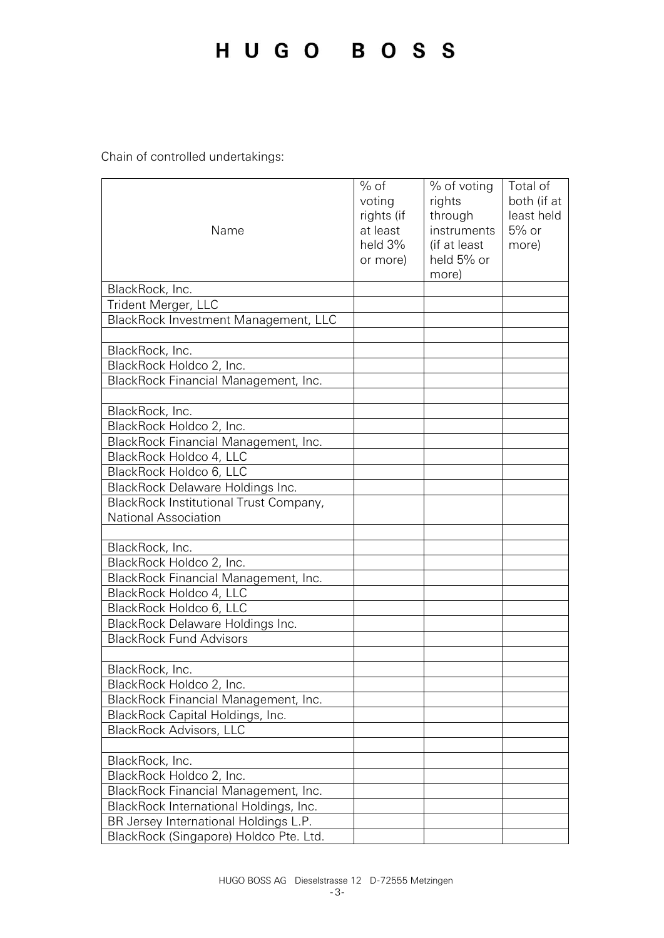Chain of controlled undertakings:

| Name                                   | $%$ of<br>voting<br>rights (if<br>at least<br>held 3%<br>or more) | % of voting<br>rights<br>through<br>instruments<br>(if at least<br>held 5% or<br>more) | Total of<br>both (if at<br>least held<br>5% or<br>more) |
|----------------------------------------|-------------------------------------------------------------------|----------------------------------------------------------------------------------------|---------------------------------------------------------|
| BlackRock, Inc.                        |                                                                   |                                                                                        |                                                         |
| Trident Merger, LLC                    |                                                                   |                                                                                        |                                                         |
| BlackRock Investment Management, LLC   |                                                                   |                                                                                        |                                                         |
|                                        |                                                                   |                                                                                        |                                                         |
| BlackRock, Inc.                        |                                                                   |                                                                                        |                                                         |
| BlackRock Holdco 2, Inc.               |                                                                   |                                                                                        |                                                         |
| BlackRock Financial Management, Inc.   |                                                                   |                                                                                        |                                                         |
|                                        |                                                                   |                                                                                        |                                                         |
| BlackRock, Inc.                        |                                                                   |                                                                                        |                                                         |
| BlackRock Holdco 2, Inc.               |                                                                   |                                                                                        |                                                         |
| BlackRock Financial Management, Inc.   |                                                                   |                                                                                        |                                                         |
| BlackRock Holdco 4, LLC                |                                                                   |                                                                                        |                                                         |
| BlackRock Holdco 6, LLC                |                                                                   |                                                                                        |                                                         |
| BlackRock Delaware Holdings Inc.       |                                                                   |                                                                                        |                                                         |
| BlackRock Institutional Trust Company, |                                                                   |                                                                                        |                                                         |
| National Association                   |                                                                   |                                                                                        |                                                         |
|                                        |                                                                   |                                                                                        |                                                         |
| BlackRock, Inc.                        |                                                                   |                                                                                        |                                                         |
| BlackRock Holdco 2, Inc.               |                                                                   |                                                                                        |                                                         |
| BlackRock Financial Management, Inc.   |                                                                   |                                                                                        |                                                         |
| BlackRock Holdco 4, LLC                |                                                                   |                                                                                        |                                                         |
| BlackRock Holdco 6, LLC                |                                                                   |                                                                                        |                                                         |
| BlackRock Delaware Holdings Inc.       |                                                                   |                                                                                        |                                                         |
| <b>BlackRock Fund Advisors</b>         |                                                                   |                                                                                        |                                                         |
| BlackRock, Inc.                        |                                                                   |                                                                                        |                                                         |
| BlackRock Holdco 2, Inc.               |                                                                   |                                                                                        |                                                         |
| BlackRock Financial Management, Inc.   |                                                                   |                                                                                        |                                                         |
| BlackRock Capital Holdings, Inc.       |                                                                   |                                                                                        |                                                         |
| <b>BlackRock Advisors, LLC</b>         |                                                                   |                                                                                        |                                                         |
|                                        |                                                                   |                                                                                        |                                                         |
| BlackRock, Inc.                        |                                                                   |                                                                                        |                                                         |
| BlackRock Holdco 2, Inc.               |                                                                   |                                                                                        |                                                         |
| BlackRock Financial Management, Inc.   |                                                                   |                                                                                        |                                                         |
| BlackRock International Holdings, Inc. |                                                                   |                                                                                        |                                                         |
| BR Jersey International Holdings L.P.  |                                                                   |                                                                                        |                                                         |
| BlackRock (Singapore) Holdco Pte. Ltd. |                                                                   |                                                                                        |                                                         |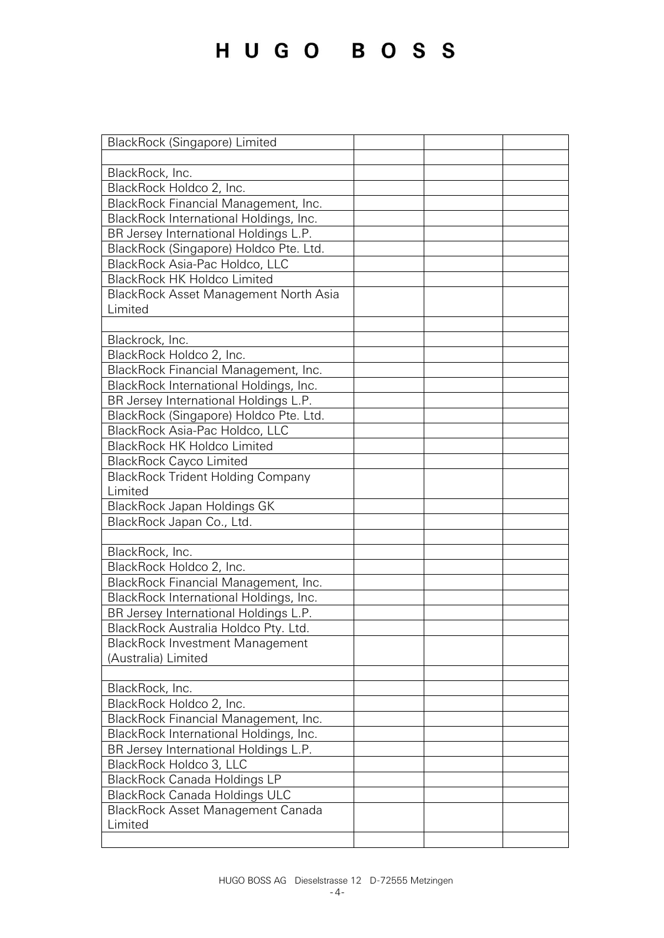| BlackRock (Singapore) Limited                |  |
|----------------------------------------------|--|
|                                              |  |
| BlackRock, Inc.                              |  |
| BlackRock Holdco 2, Inc.                     |  |
| BlackRock Financial Management, Inc.         |  |
| BlackRock International Holdings, Inc.       |  |
| BR Jersey International Holdings L.P.        |  |
| BlackRock (Singapore) Holdco Pte. Ltd.       |  |
| BlackRock Asia-Pac Holdco, LLC               |  |
| <b>BlackRock HK Holdco Limited</b>           |  |
| <b>BlackRock Asset Management North Asia</b> |  |
| Limited                                      |  |
|                                              |  |
| Blackrock, Inc.                              |  |
| BlackRock Holdco 2, Inc.                     |  |
| BlackRock Financial Management, Inc.         |  |
| BlackRock International Holdings, Inc.       |  |
| BR Jersey International Holdings L.P.        |  |
| BlackRock (Singapore) Holdco Pte. Ltd.       |  |
| BlackRock Asia-Pac Holdco, LLC               |  |
| <b>BlackRock HK Holdco Limited</b>           |  |
| <b>BlackRock Cayco Limited</b>               |  |
| <b>BlackRock Trident Holding Company</b>     |  |
| Limited                                      |  |
| BlackRock Japan Holdings GK                  |  |
| BlackRock Japan Co., Ltd.                    |  |
|                                              |  |
| BlackRock, Inc.                              |  |
| BlackRock Holdco 2, Inc.                     |  |
| BlackRock Financial Management, Inc.         |  |
| BlackRock International Holdings, Inc.       |  |
| BR Jersey International Holdings L.P.        |  |
| BlackRock Australia Holdco Pty. Ltd.         |  |
| <b>BlackRock Investment Management</b>       |  |
| (Australia) Limited                          |  |
|                                              |  |
| BlackRock, Inc.                              |  |
| BlackRock Holdco 2, Inc.                     |  |
| BlackRock Financial Management, Inc.         |  |
| BlackRock International Holdings, Inc.       |  |
| BR Jersey International Holdings L.P.        |  |
| BlackRock Holdco 3, LLC                      |  |
| <b>BlackRock Canada Holdings LP</b>          |  |
| <b>BlackRock Canada Holdings ULC</b>         |  |
| <b>BlackRock Asset Management Canada</b>     |  |
| Limited                                      |  |
|                                              |  |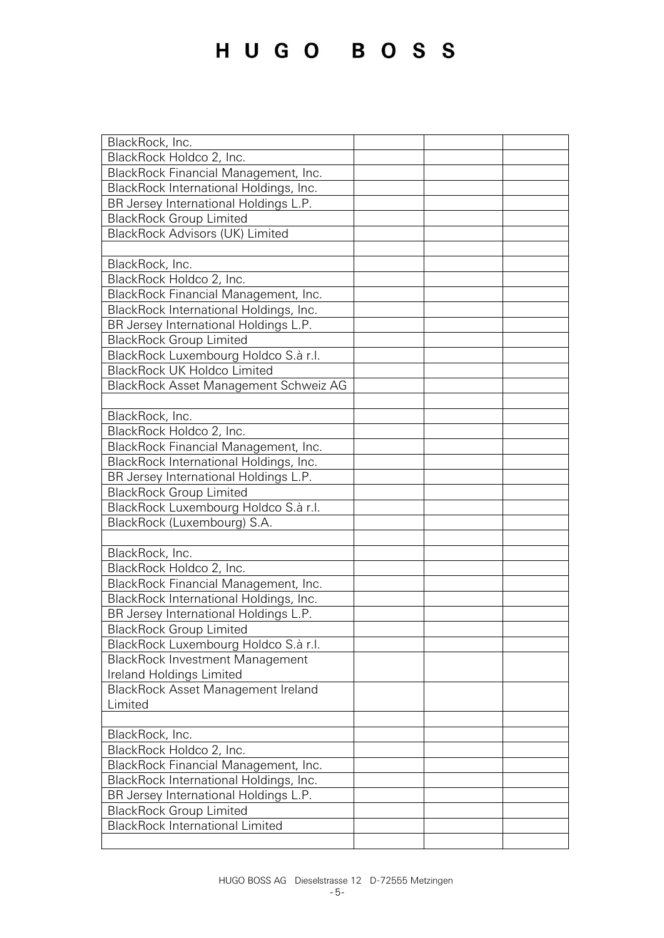| BlackRock, Inc.                           |  |
|-------------------------------------------|--|
| BlackRock Holdco 2, Inc.                  |  |
| BlackRock Financial Management, Inc.      |  |
| BlackRock International Holdings, Inc.    |  |
| BR Jersey International Holdings L.P.     |  |
| <b>BlackRock Group Limited</b>            |  |
| <b>BlackRock Advisors (UK) Limited</b>    |  |
|                                           |  |
| BlackRock, Inc.                           |  |
| BlackRock Holdco 2, Inc.                  |  |
| BlackRock Financial Management, Inc.      |  |
| BlackRock International Holdings, Inc.    |  |
| BR Jersey International Holdings L.P.     |  |
| <b>BlackRock Group Limited</b>            |  |
| BlackRock Luxembourg Holdco S.à r.l.      |  |
| <b>BlackRock UK Holdco Limited</b>        |  |
|                                           |  |
| BlackRock Asset Management Schweiz AG     |  |
|                                           |  |
| BlackRock, Inc.                           |  |
| BlackRock Holdco 2, Inc.                  |  |
| BlackRock Financial Management, Inc.      |  |
| BlackRock International Holdings, Inc.    |  |
| BR Jersey International Holdings L.P.     |  |
| <b>BlackRock Group Limited</b>            |  |
| BlackRock Luxembourg Holdco S.à r.l.      |  |
| BlackRock (Luxembourg) S.A.               |  |
|                                           |  |
| BlackRock, Inc.                           |  |
| BlackRock Holdco 2, Inc.                  |  |
| BlackRock Financial Management, Inc.      |  |
| BlackRock International Holdings, Inc.    |  |
| BR Jersey International Holdings L.P.     |  |
|                                           |  |
| <b>BlackRock Group Limited</b>            |  |
| BlackRock Luxembourg Holdco S.à r.l.      |  |
| <b>BlackRock Investment Management</b>    |  |
| Ireland Holdings Limited                  |  |
| <b>BlackRock Asset Management Ireland</b> |  |
| Limited                                   |  |
|                                           |  |
| BlackRock, Inc.                           |  |
| BlackRock Holdco 2, Inc.                  |  |
| BlackRock Financial Management, Inc.      |  |
| BlackRock International Holdings, Inc.    |  |
| BR Jersey International Holdings L.P.     |  |
| <b>BlackRock Group Limited</b>            |  |
| <b>BlackRock International Limited</b>    |  |
|                                           |  |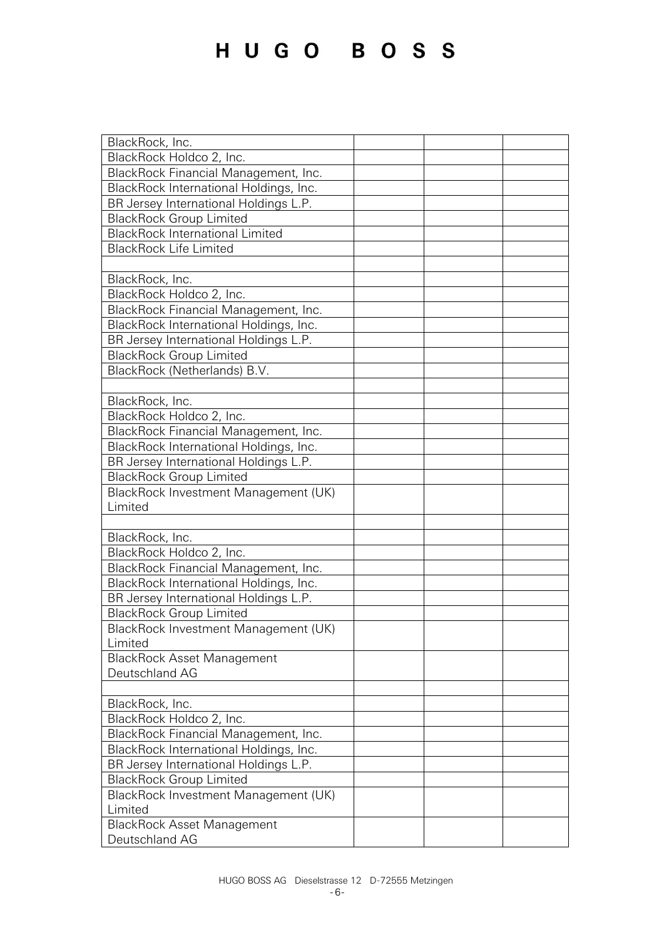| BlackRock, Inc.                                     |  |
|-----------------------------------------------------|--|
| BlackRock Holdco 2, Inc.                            |  |
| BlackRock Financial Management, Inc.                |  |
| BlackRock International Holdings, Inc.              |  |
| BR Jersey International Holdings L.P.               |  |
| <b>BlackRock Group Limited</b>                      |  |
| <b>BlackRock International Limited</b>              |  |
| <b>BlackRock Life Limited</b>                       |  |
|                                                     |  |
| BlackRock, Inc.                                     |  |
| BlackRock Holdco 2, Inc.                            |  |
| BlackRock Financial Management, Inc.                |  |
| BlackRock International Holdings, Inc.              |  |
| BR Jersey International Holdings L.P.               |  |
| <b>BlackRock Group Limited</b>                      |  |
| BlackRock (Netherlands) B.V.                        |  |
|                                                     |  |
| BlackRock, Inc.                                     |  |
| BlackRock Holdco 2, Inc.                            |  |
| BlackRock Financial Management, Inc.                |  |
| BlackRock International Holdings, Inc.              |  |
| BR Jersey International Holdings L.P.               |  |
| <b>BlackRock Group Limited</b>                      |  |
| BlackRock Investment Management (UK)                |  |
| Limited                                             |  |
|                                                     |  |
| BlackRock, Inc.                                     |  |
| BlackRock Holdco 2, Inc.                            |  |
| BlackRock Financial Management, Inc.                |  |
| BlackRock International Holdings, Inc.              |  |
| BR Jersey International Holdings L.P.               |  |
| <b>BlackRock Group Limited</b>                      |  |
| BlackRock Investment Management (UK)                |  |
| Limited                                             |  |
| <b>BlackRock Asset Management</b>                   |  |
| Deutschland AG                                      |  |
|                                                     |  |
| BlackRock, Inc.                                     |  |
| BlackRock Holdco 2, Inc.                            |  |
| BlackRock Financial Management, Inc.                |  |
| BlackRock International Holdings, Inc.              |  |
| BR Jersey International Holdings L.P.               |  |
| <b>BlackRock Group Limited</b>                      |  |
|                                                     |  |
| BlackRock Investment Management (UK)<br>Limited     |  |
|                                                     |  |
| <b>BlackRock Asset Management</b><br>Deutschland AG |  |
|                                                     |  |